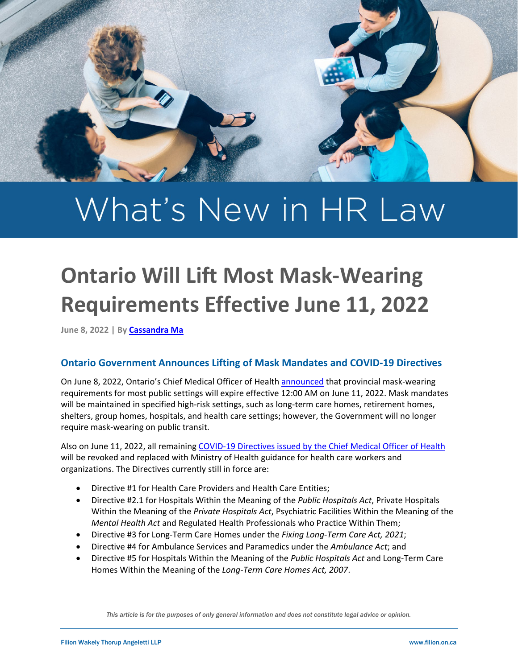

# What's New in HR Law

# **Ontario Will Lift Most Mask-Wearing Requirements Effective June 11, 2022**

**June 8, 2022 | B[y Cassandra Ma](https://filion.on.ca/lawyers/cassandra-ma/)**

## **Ontario Government Announces Lifting of Mask Mandates and COVID-19 Directives**

On June 8, 2022, Ontario's Chief Medical Officer of Health [announced](https://news.ontario.ca/en/statement/1002160/most-masking-requirements-to-be-lifted-on-june-11) that provincial mask-wearing requirements for most public settings will expire effective 12:00 AM on June 11, 2022. Mask mandates will be maintained in specified high-risk settings, such as long-term care homes, retirement homes, shelters, group homes, hospitals, and health care settings; however, the Government will no longer require mask-wearing on public transit.

Also on June 11, 2022, all remaining [COVID-19 Directives issued by the Chief Medical Officer of Health](https://www.health.gov.on.ca/en/pro/programs/publichealth/coronavirus/dir_mem_res.aspx?utm_source=newsroom&utm_medium=email&utm_campaign=%2Fen%2Fstatement%2F1002160%2Fmost-masking-requirements-to-be-lifted-on-june-11&utm_term=public) will be revoked and replaced with Ministry of Health guidance for health care workers and organizations. The Directives currently still in force are:

- Directive #1 for Health Care Providers and Health Care Entities;
- Directive #2.1 for Hospitals Within the Meaning of the *Public Hospitals Act*, Private Hospitals Within the Meaning of the *Private Hospitals Act*, Psychiatric Facilities Within the Meaning of the *Mental Health Act* and Regulated Health Professionals who Practice Within Them;
- Directive #3 for Long-Term Care Homes under the *Fixing Long-Term Care Act, 2021*;
- Directive #4 for Ambulance Services and Paramedics under the *Ambulance Act*; and
- Directive #5 for Hospitals Within the Meaning of the *Public Hospitals Act* and Long-Term Care Homes Within the Meaning of the *Long-Term Care Homes Act, 2007*.

*This article is for the purposes of only general information and does not constitute legal advice or opinion.*